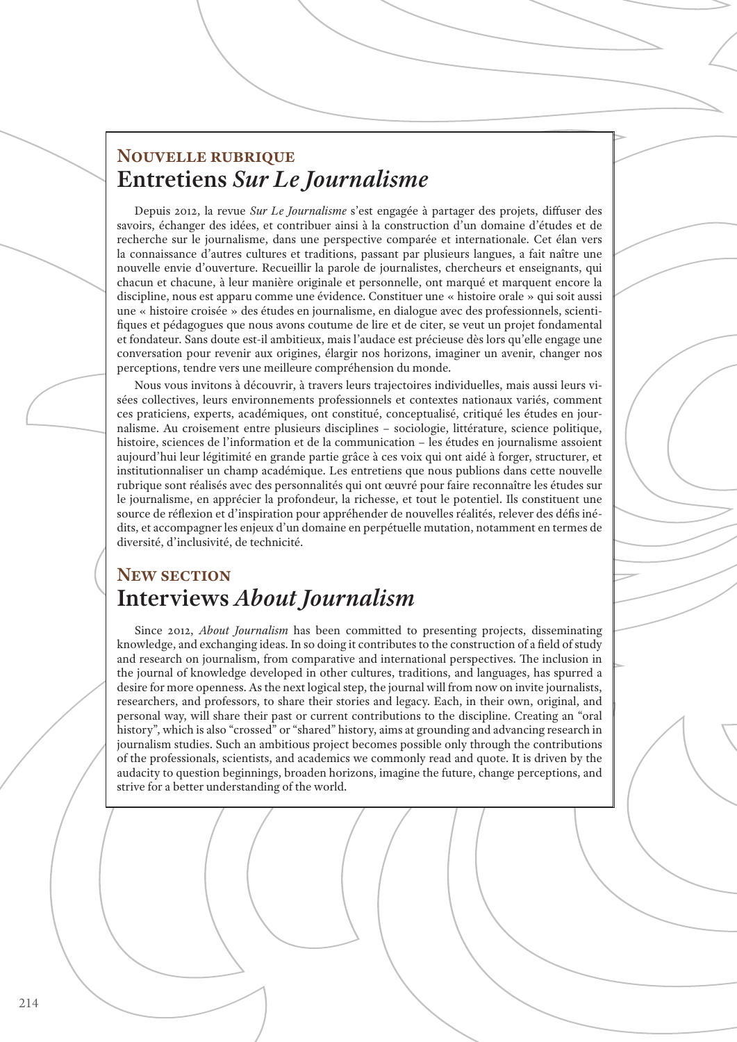## **Nouvelle rubrique Entretiens** *Sur Le Journalisme*

Depuis 2012, la revue *Sur Le Journalisme* s'est engagée à partager des projets, diffuser des savoirs, échanger des idées, et contribuer ainsi à la construction d'un domaine d'études et de recherche sur le journalisme, dans une perspective comparée et internationale. Cet élan vers la connaissance d'autres cultures et traditions, passant par plusieurs langues, a fait naître une nouvelle envie d'ouverture. Recueillir la parole de journalistes, chercheurs et enseignants, qui chacun et chacune, à leur manière originale et personnelle, ont marqué et marquent encore la discipline, nous est apparu comme une évidence. Constituer une « histoire orale » qui soit aussi une « histoire croisée » des études en journalisme, en dialogue avec des professionnels, scientifiques et pédagogues que nous avons coutume de lire et de citer, se veut un projet fondamental et fondateur. Sans doute est-il ambitieux, mais l'audace est précieuse dès lors qu'elle engage une conversation pour revenir aux origines, élargir nos horizons, imaginer un avenir, changer nos perceptions, tendre vers une meilleure compréhension du monde.

Nous vous invitons à découvrir, à travers leurs trajectoires individuelles, mais aussi leurs visées collectives, leurs environnements professionnels et contextes nationaux variés, comment ces praticiens, experts, académiques, ont constitué, conceptualisé, critiqué les études en journalisme. Au croisement entre plusieurs disciplines – sociologie, littérature, science politique, histoire, sciences de l'information et de la communication – les études en journalisme assoient aujourd'hui leur légitimité en grande partie grâce à ces voix qui ont aidé à forger, structurer, et institutionnaliser un champ académique. Les entretiens que nous publions dans cette nouvelle rubrique sont réalisés avec des personnalités qui ont œuvré pour faire reconnaître les études sur le journalisme, en apprécier la profondeur, la richesse, et tout le potentiel. Ils constituent une source de réflexion et d'inspiration pour appréhender de nouvelles réalités, relever des défis inédits, et accompagner les enjeux d'un domaine en perpétuelle mutation, notamment en termes de diversité, d'inclusivité, de technicité.

### **New section Interviews** *About Journalism*

Since 2012, *About Journalism* has been committed to presenting projects, disseminating knowledge, and exchanging ideas. In so doing it contributes to the construction of a field of study and research on journalism, from comparative and international perspectives. The inclusion in the journal of knowledge developed in other cultures, traditions, and languages, has spurred a desire for more openness. As the next logical step, the journal will from now on invite journalists, researchers, and professors, to share their stories and legacy. Each, in their own, original, and personal way, will share their past or current contributions to the discipline. Creating an "oral history", which is also "crossed" or "shared" history, aims at grounding and advancing research in journalism studies. Such an ambitious project becomes possible only through the contributions of the professionals, scientists, and academics we commonly read and quote. It is driven by the audacity to question beginnings, broaden horizons, imagine the future, change perceptions, and strive for a better understanding of the world.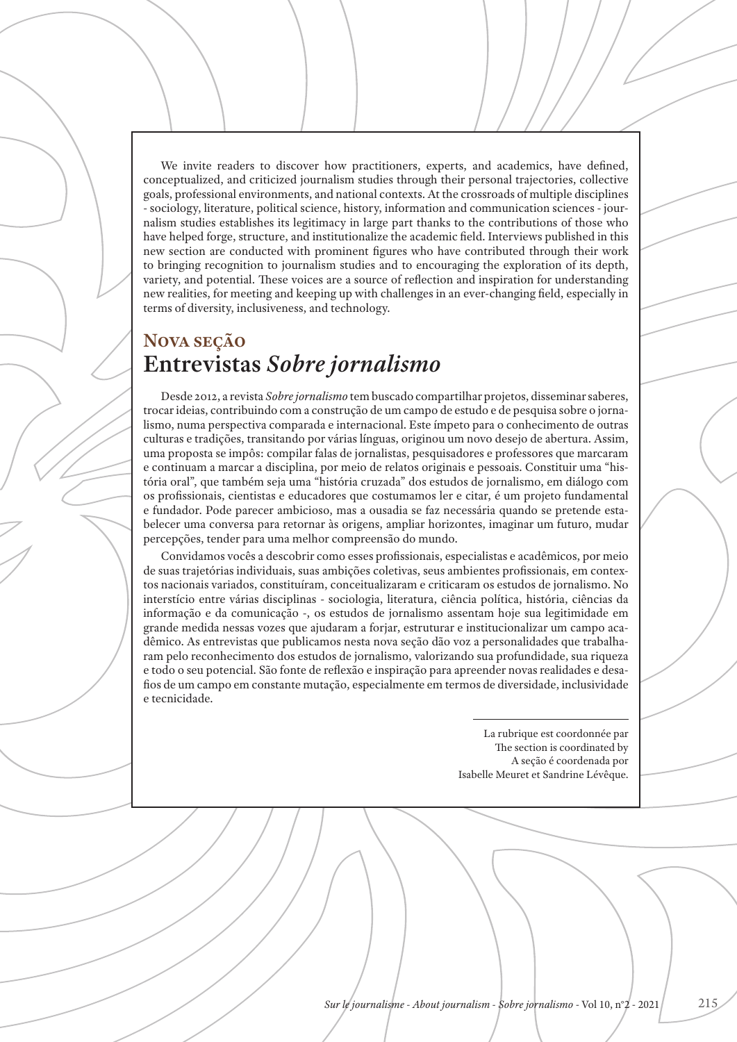We invite readers to discover how practitioners, experts, and academics, have defined, conceptualized, and criticized journalism studies through their personal trajectories, collective goals, professional environments, and national contexts. At the crossroads of multiple disciplines - sociology, literature, political science, history, information and communication sciences - journalism studies establishes its legitimacy in large part thanks to the contributions of those who have helped forge, structure, and institutionalize the academic field. Interviews published in this new section are conducted with prominent figures who have contributed through their work to bringing recognition to journalism studies and to encouraging the exploration of its depth, variety, and potential. These voices are a source of reflection and inspiration for understanding new realities, for meeting and keeping up with challenges in an ever-changing field, especially in terms of diversity, inclusiveness, and technology.

## **Nova seção Entrevistas** *Sobre jornalismo*

Desde 2012, a revista *Sobre jornalismo* tem buscado compartilhar projetos, disseminar saberes, trocar ideias, contribuindo com a construção de um campo de estudo e de pesquisa sobre o jornalismo, numa perspectiva comparada e internacional. Este ímpeto para o conhecimento de outras culturas e tradições, transitando por várias línguas, originou um novo desejo de abertura. Assim, uma proposta se impôs: compilar falas de jornalistas, pesquisadores e professores que marcaram e continuam a marcar a disciplina, por meio de relatos originais e pessoais. Constituir uma "história oral", que também seja uma "história cruzada" dos estudos de jornalismo, em diálogo com os profissionais, cientistas e educadores que costumamos ler e citar, é um projeto fundamental e fundador. Pode parecer ambicioso, mas a ousadia se faz necessária quando se pretende estabelecer uma conversa para retornar às origens, ampliar horizontes, imaginar um futuro, mudar percepções, tender para uma melhor compreensão do mundo.

Convidamos vocês a descobrir como esses profissionais, especialistas e acadêmicos, por meio de suas trajetórias individuais, suas ambições coletivas, seus ambientes profissionais, em contextos nacionais variados, constituíram, conceitualizaram e criticaram os estudos de jornalismo. No interstício entre várias disciplinas - sociologia, literatura, ciência política, história, ciências da informação e da comunicação -, os estudos de jornalismo assentam hoje sua legitimidade em grande medida nessas vozes que ajudaram a forjar, estruturar e institucionalizar um campo acadêmico. As entrevistas que publicamos nesta nova seção dão voz a personalidades que trabalharam pelo reconhecimento dos estudos de jornalismo, valorizando sua profundidade, sua riqueza e todo o seu potencial. São fonte de reflexão e inspiração para apreender novas realidades e desafios de um campo em constante mutação, especialmente em termos de diversidade, inclusividade e tecnicidade.

> La rubrique est coordonnée par The section is coordinated by A seção é coordenada por Isabelle Meuret et Sandrine Lévêque.

> > 215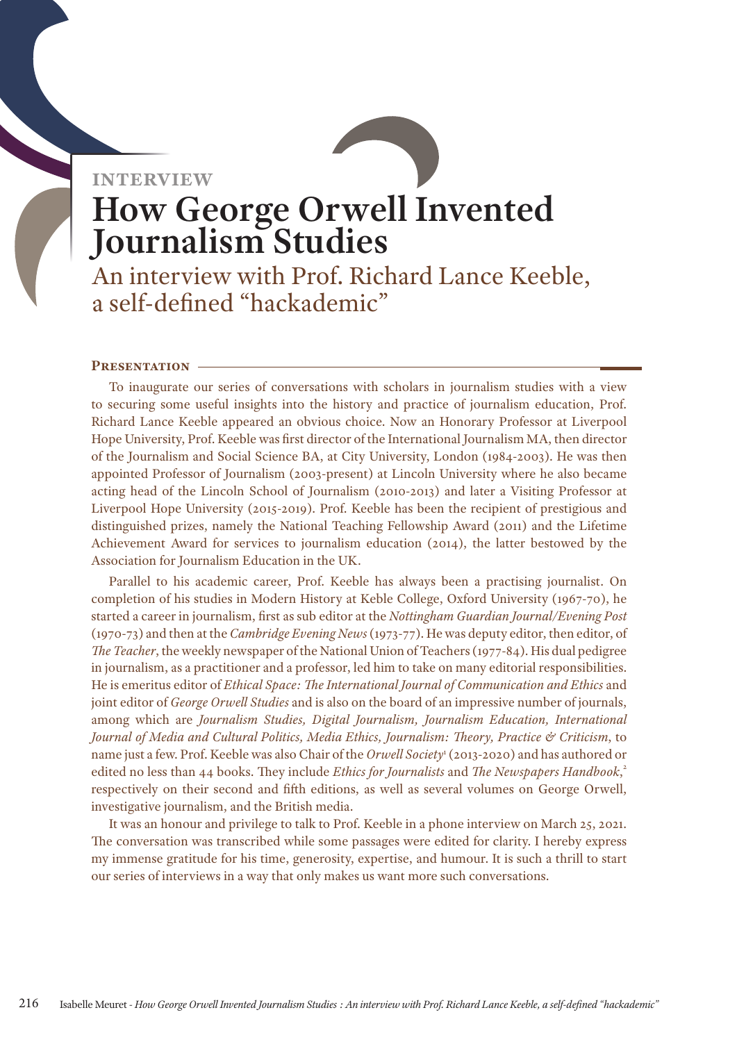# **interview** How George Orwell Invented Journalism Studies

An interview with Prof. Richard Lance Keeble, a self-defined "hackademic"

#### **Presentation**

To inaugurate our series of conversations with scholars in journalism studies with a view to securing some useful insights into the history and practice of journalism education, Prof. Richard Lance Keeble appeared an obvious choice. Now an Honorary Professor at Liverpool Hope University, Prof. Keeble was first director of the International Journalism MA, then director of the Journalism and Social Science BA, at City University, London (1984-2003). He was then appointed Professor of Journalism (2003-present) at Lincoln University where he also became acting head of the Lincoln School of Journalism (2010-2013) and later a Visiting Professor at Liverpool Hope University (2015-2019). Prof. Keeble has been the recipient of prestigious and distinguished prizes, namely the National Teaching Fellowship Award (2011) and the Lifetime Achievement Award for services to journalism education (2014), the latter bestowed by the Association for Journalism Education in the UK.

Farallel to his academic career, Prof. Keeble has always been a practising journalist. On completion of his studies in Modern History at Keble College, Oxford University (1967-70), he started a career in journalism, first as sub editor at the *Nottingham Guardian Journal/Evening Post*  $\frac{1}{2}$ (1970-73) and then at the *Cambridge Evening News* (1973-77). He was deputy editor, then editor, or<br>*The Teacher*, the weekly newspaper of the National Union of Teachers (1977-84). His dual pedigree completion of his studies in Modern History at Keble College, Oxford University (1967-70), he (1970-73) and then at the *Cambridge Evening News* (1973-77). He was deputy editor, then editor, of in journalism, as a practitioner and a professor, led him to take on many editorial responsibilities. He is emeritus editor of *Ethical Space: The International Journal of Communication and Ethics* and joint editor of *George Orwell Studies* and is also on the board of an impressive number of journals, among which are *Journalism Studies, Digital Journalism, Journalism Education, International Journal of Media and Cultural Politics, Media Ethics, Journalism: Theory, Practice & Criticism*, to name just a few. Prof. Keeble was also Chair of the *Orwell Society*<sup>1</sup> (2013-2020) and has authored or edited no less than 44 books. They include *Ethics for Journalists* and *The Newspapers Handbook*, 2 respectively on their second and fifth editions, as well as several volumes on George Orwell, investigative journalism, and the British media.

It was an honour and privilege to talk to Prof. Keeble in a phone interview on March 25, 2021. The conversation was transcribed while some passages were edited for clarity. I hereby express my immense gratitude for his time, generosity, expertise, and humour. It is such a thrill to start our series of interviews in a way that only makes us want more such conversations.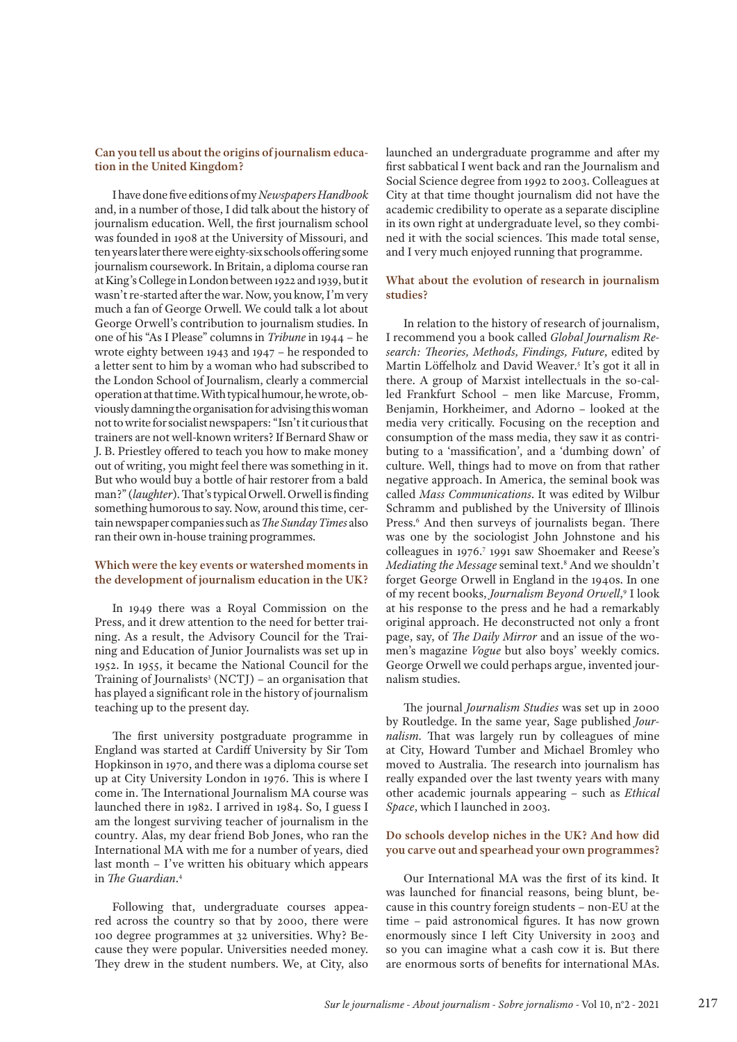#### **Can you tell us about the origins of journalism education in the United Kingdom?**

I have done five editions of my *Newspapers Handbook* and, in a number of those, I did talk about the history of journalism education. Well, the first journalism school was founded in 1908 at the University of Missouri, and ten years later there were eighty-six schools offering some journalism coursework. In Britain, a diploma course ran at King's College in London between 1922 and 1939, but it wasn't re-started after the war. Now, you know, I'm very much a fan of George Orwell. We could talk a lot about George Orwell's contribution to journalism studies. In one of his "As I Please" columns in *Tribune* in 1944 – he wrote eighty between 1943 and 1947 – he responded to a letter sent to him by a woman who had subscribed to the London School of Journalism, clearly a commercial operation at that time. With typical humour, he wrote, obviously damning the organisation for advising this woman not to write for socialist newspapers: "Isn't it curious that trainers are not well-known writers? If Bernard Shaw or J. B. Priestley offered to teach you how to make money out of writing, you might feel there was something in it. But who would buy a bottle of hair restorer from a bald man?" (*laughter*). That's typical Orwell. Orwell is finding something humorous to say. Now, around this time, certain newspaper companies such as *The Sunday Times* also ran their own in-house training programmes.

#### **Which were the key events or watershed moments in the development of journalism education in the UK?**

In 1949 there was a Royal Commission on the Press, and it drew attention to the need for better training. As a result, the Advisory Council for the Training and Education of Junior Journalists was set up in 1952. In 1955, it became the National Council for the Training of Journalists<sup>3</sup> (NCTJ) – an organisation that has played a significant role in the history of journalism teaching up to the present day.

The first university postgraduate programme in England was started at Cardiff University by Sir Tom Hopkinson in 1970, and there was a diploma course set up at City University London in 1976. This is where I come in. The International Journalism MA course was launched there in 1982. I arrived in 1984. So, I guess I am the longest surviving teacher of journalism in the country*.* Alas, my dear friend Bob Jones, who ran the International MA with me for a number of years, died last month – I've written his obituary which appears in *The Guardian*. 4

Following that, undergraduate courses appeared across the country so that by 2000, there were 100 degree programmes at 32 universities. Why? Because they were popular. Universities needed money. They drew in the student numbers. We, at City, also launched an undergraduate programme and after my first sabbatical I went back and ran the Journalism and Social Science degree from 1992 to 2003. Colleagues at City at that time thought journalism did not have the academic credibility to operate as a separate discipline in its own right at undergraduate level, so they combined it with the social sciences. This made total sense, and I very much enjoyed running that programme.

#### **What about the evolution of research in journalism studies?**

In relation to the history of research of journalism, I recommend you a book called *Global Journalism Research: Theories, Methods, Findings, Future*, edited by Martin Löffelholz and David Weaver.<sup>5</sup> It's got it all in there. A group of Marxist intellectuals in the so-called Frankfurt School – men like Marcuse, Fromm, Benjamin, Horkheimer, and Adorno – looked at the media very critically. Focusing on the reception and consumption of the mass media, they saw it as contributing to a 'massification', and a 'dumbing down' of culture. Well, things had to move on from that rather negative approach. In America, the seminal book was called *Mass Communications*. It was edited by Wilbur Schramm and published by the University of Illinois Press.<sup>6</sup> And then surveys of journalists began. There was one by the sociologist John Johnstone and his colleagues in 1976.<sup>7</sup> 1991 saw Shoemaker and Reese's Mediating the Message seminal text.<sup>8</sup> And we shouldn't forget George Orwell in England in the 1940s. In one of my recent books, *Journalism Beyond Orwell*,<sup>9</sup> I look at his response to the press and he had a remarkably original approach. He deconstructed not only a front page, say, of *The Daily Mirror* and an issue of the women's magazine *Vogue* but also boys' weekly comics. George Orwell we could perhaps argue, invented journalism studies.

The journal *Journalism Studies* was set up in 2000 by Routledge. In the same year, Sage published *Journalism.* That was largely run by colleagues of mine at City, Howard Tumber and Michael Bromley who moved to Australia. The research into journalism has really expanded over the last twenty years with many other academic journals appearing – such as *Ethical Space*, which I launched in 2003.

#### **Do schools develop niches in the UK? And how did you carve out and spearhead your own programmes?**

Our International MA was the first of its kind. It was launched for financial reasons, being blunt, because in this country foreign students – non-EU at the time – paid astronomical figures. It has now grown enormously since I left City University in 2003 and so you can imagine what a cash cow it is. But there are enormous sorts of benefits for international MAs.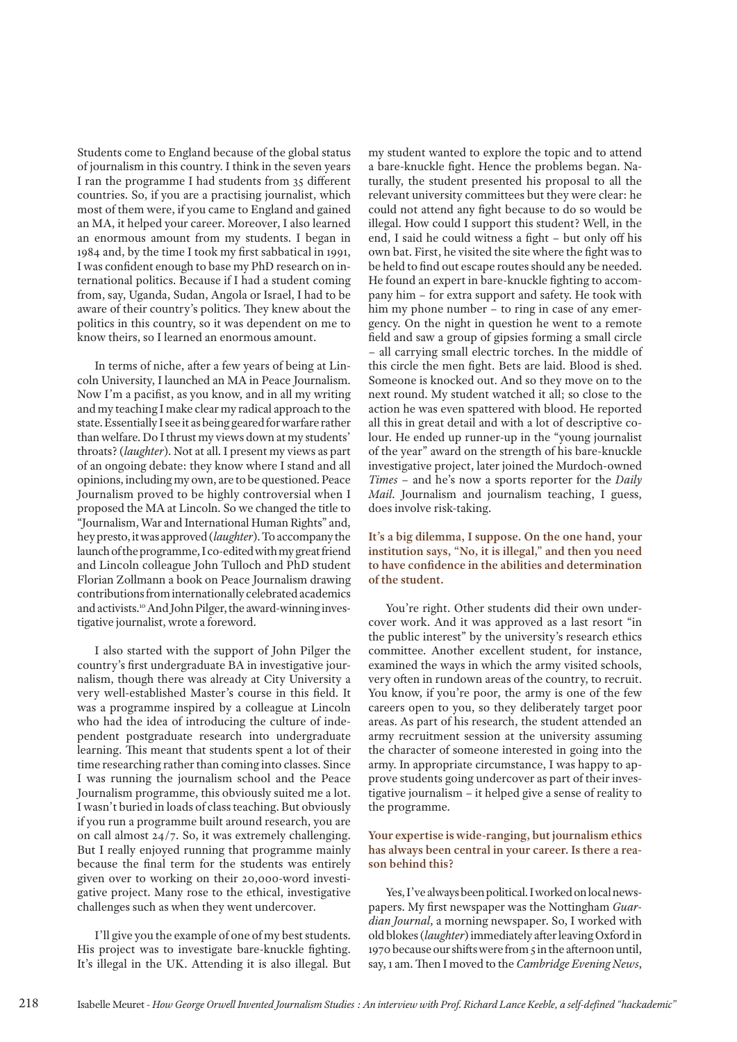Students come to England because of the global status of journalism in this country. I think in the seven years I ran the programme I had students from 35 different countries. So, if you are a practising journalist, which most of them were, if you came to England and gained an MA, it helped your career. Moreover, I also learned an enormous amount from my students. I began in 1984 and, by the time I took my first sabbatical in 1991, I was confident enough to base my PhD research on international politics. Because if I had a student coming from, say, Uganda, Sudan, Angola or Israel, I had to be aware of their country's politics. They knew about the politics in this country, so it was dependent on me to know theirs, so I learned an enormous amount.

In terms of niche, after a few years of being at Lincoln University, I launched an MA in Peace Journalism. Now I'm a pacifist, as you know, and in all my writing and my teaching I make clear my radical approach to the state. Essentially I see it as being geared for warfare rather than welfare. Do I thrust my views down at my students' throats? (*laughter*). Not at all. I present my views as part of an ongoing debate: they know where I stand and all opinions, including my own, are to be questioned. Peace Journalism proved to be highly controversial when I proposed the MA at Lincoln. So we changed the title to "Journalism, War and International Human Rights" and, hey presto, it was approved (*laughter*). To accompany the launch of the programme, I co-edited with my great friend and Lincoln colleague John Tulloch and PhD student Florian Zollmann a book on Peace Journalism drawing contributions from internationally celebrated academics and activists.<sup>10</sup> And John Pilger, the award-winning investigative journalist, wrote a foreword.

I also started with the support of John Pilger the country's first undergraduate BA in investigative journalism, though there was already at City University a very well-established Master's course in this field. It was a programme inspired by a colleague at Lincoln who had the idea of introducing the culture of independent postgraduate research into undergraduate learning. This meant that students spent a lot of their time researching rather than coming into classes. Since I was running the journalism school and the Peace Journalism programme, this obviously suited me a lot. I wasn't buried in loads of class teaching. But obviously if you run a programme built around research, you are on call almost 24/7. So, it was extremely challenging. But I really enjoyed running that programme mainly because the final term for the students was entirely given over to working on their 20,000-word investigative project. Many rose to the ethical, investigative challenges such as when they went undercover.

I'll give you the example of one of my best students. His project was to investigate bare-knuckle fighting. It's illegal in the UK. Attending it is also illegal. But

my student wanted to explore the topic and to attend a bare-knuckle fight. Hence the problems began. Naturally, the student presented his proposal to all the relevant university committees but they were clear: he could not attend any fight because to do so would be illegal. How could I support this student? Well, in the end, I said he could witness a fight – but only off his own bat. First, he visited the site where the fight was to be held to find out escape routes should any be needed. He found an expert in bare-knuckle fighting to accompany him – for extra support and safety. He took with him my phone number – to ring in case of any emergency. On the night in question he went to a remote field and saw a group of gipsies forming a small circle – all carrying small electric torches. In the middle of this circle the men fight. Bets are laid. Blood is shed. Someone is knocked out. And so they move on to the next round. My student watched it all; so close to the action he was even spattered with blood. He reported all this in great detail and with a lot of descriptive colour. He ended up runner-up in the "young journalist of the year" award on the strength of his bare-knuckle investigative project, later joined the Murdoch-owned *Times* – and he's now a sports reporter for the *Daily Mail*. Journalism and journalism teaching, I guess, does involve risk-taking.

**It's a big dilemma, I suppose. On the one hand, your institution says, "No, it is illegal," and then you need to have confidence in the abilities and determination of the student.**

You're right. Other students did their own undercover work. And it was approved as a last resort "in the public interest" by the university's research ethics committee. Another excellent student, for instance, examined the ways in which the army visited schools, very often in rundown areas of the country, to recruit. You know, if you're poor, the army is one of the few careers open to you, so they deliberately target poor areas. As part of his research, the student attended an army recruitment session at the university assuming the character of someone interested in going into the army. In appropriate circumstance, I was happy to approve students going undercover as part of their investigative journalism – it helped give a sense of reality to the programme.

#### **Your expertise is wide-ranging, but journalism ethics has always been central in your career. Is there a reason behind this?**

Yes, I've always been political. I worked on local newspapers. My first newspaper was the Nottingham *Guardian Journal*, a morning newspaper. So, I worked with old blokes (*laughter*) immediately after leaving Oxford in 1970 because our shifts were from 5 in the afternoon until, say, 1 am. Then I moved to the *Cambridge Evening News*,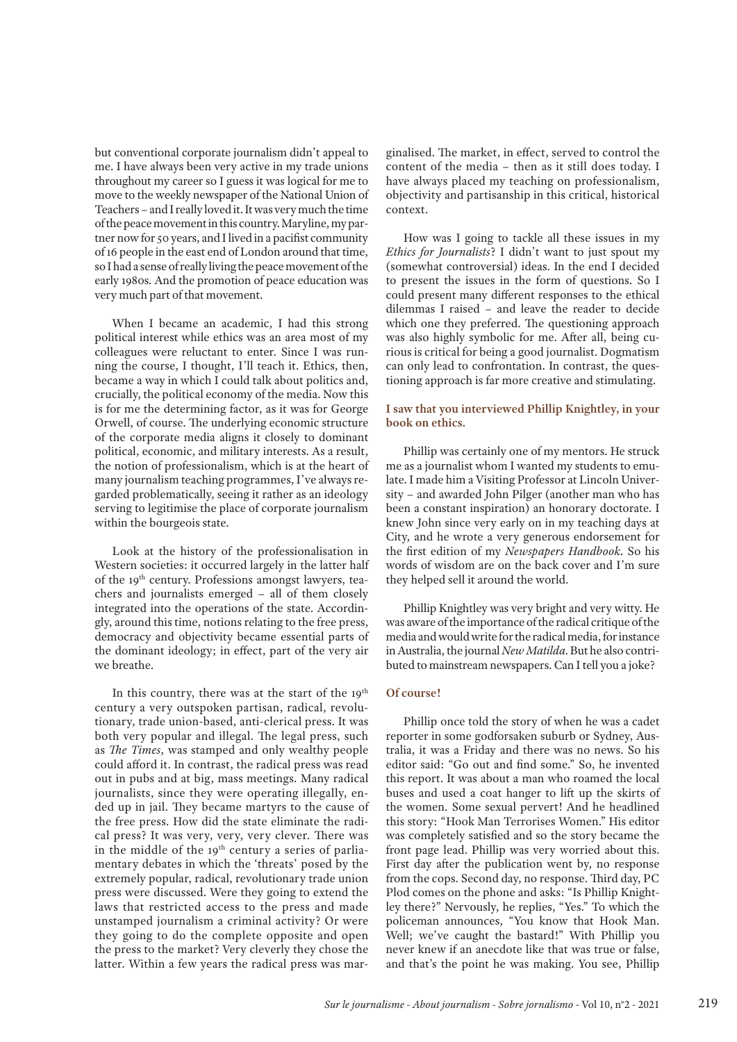but conventional corporate journalism didn't appeal to me. I have always been very active in my trade unions throughout my career so I guess it was logical for me to move to the weekly newspaper of the National Union of Teachers – and I really loved it. It was very much the time of the peace movement in this country. Maryline, my partner now for 50 years, and I lived in a pacifist community of 16 people in the east end of London around that time, so I had a sense of really living the peace movement of the early 1980s. And the promotion of peace education was very much part of that movement.

When I became an academic, I had this strong political interest while ethics was an area most of my colleagues were reluctant to enter. Since I was running the course, I thought, I'll teach it. Ethics, then, became a way in which I could talk about politics and, crucially, the political economy of the media. Now this is for me the determining factor, as it was for George Orwell, of course. The underlying economic structure of the corporate media aligns it closely to dominant political, economic, and military interests. As a result, the notion of professionalism, which is at the heart of many journalism teaching programmes, I've always regarded problematically, seeing it rather as an ideology serving to legitimise the place of corporate journalism within the bourgeois state.

Look at the history of the professionalisation in Western societies: it occurred largely in the latter half of the 19<sup>th</sup> century. Professions amongst lawyers, teachers and journalists emerged – all of them closely integrated into the operations of the state. Accordingly, around this time, notions relating to the free press, democracy and objectivity became essential parts of the dominant ideology; in effect, part of the very air we breathe.

In this country, there was at the start of the  $19<sup>th</sup>$ century a very outspoken partisan, radical, revolutionary, trade union-based, anti-clerical press. It was both very popular and illegal. The legal press, such as *The Times*, was stamped and only wealthy people could afford it. In contrast, the radical press was read out in pubs and at big, mass meetings. Many radical journalists, since they were operating illegally, ended up in jail. They became martyrs to the cause of the free press. How did the state eliminate the radical press? It was very, very, very clever. There was in the middle of the  $19<sup>th</sup>$  century a series of parliamentary debates in which the 'threats' posed by the extremely popular, radical, revolutionary trade union press were discussed. Were they going to extend the laws that restricted access to the press and made unstamped journalism a criminal activity? Or were they going to do the complete opposite and open the press to the market? Very cleverly they chose the latter. Within a few years the radical press was marginalised. The market, in effect, served to control the content of the media – then as it still does today. I have always placed my teaching on professionalism, objectivity and partisanship in this critical, historical context.

How was I going to tackle all these issues in my *Ethics for Journalists*? I didn't want to just spout my (somewhat controversial) ideas. In the end I decided to present the issues in the form of questions. So I could present many different responses to the ethical dilemmas I raised – and leave the reader to decide which one they preferred. The questioning approach was also highly symbolic for me. After all, being curious is critical for being a good journalist. Dogmatism can only lead to confrontation. In contrast, the questioning approach is far more creative and stimulating.

#### **I saw that you interviewed Phillip Knightley, in your book on ethics.**

Phillip was certainly one of my mentors. He struck me as a journalist whom I wanted my students to emulate. I made him a Visiting Professor at Lincoln University – and awarded John Pilger (another man who has been a constant inspiration) an honorary doctorate. I knew John since very early on in my teaching days at City, and he wrote a very generous endorsement for the first edition of my *Newspapers Handbook*. So his words of wisdom are on the back cover and I'm sure they helped sell it around the world.

Phillip Knightley was very bright and very witty. He was aware of the importance of the radical critique of the media and would write for the radical media, for instance in Australia, the journal *New Matilda*. But he also contributed to mainstream newspapers. Can I tell you a joke?

#### **Of course!**

Phillip once told the story of when he was a cadet reporter in some godforsaken suburb or Sydney, Australia, it was a Friday and there was no news. So his editor said: "Go out and find some." So, he invented this report. It was about a man who roamed the local buses and used a coat hanger to lift up the skirts of the women. Some sexual pervert! And he headlined this story: "Hook Man Terrorises Women." His editor was completely satisfied and so the story became the front page lead. Phillip was very worried about this. First day after the publication went by, no response from the cops. Second day, no response. Third day, PC Plod comes on the phone and asks: "Is Phillip Knightley there?" Nervously, he replies, "Yes." To which the policeman announces, "You know that Hook Man. Well; we've caught the bastard!" With Phillip you never knew if an anecdote like that was true or false, and that's the point he was making. You see, Phillip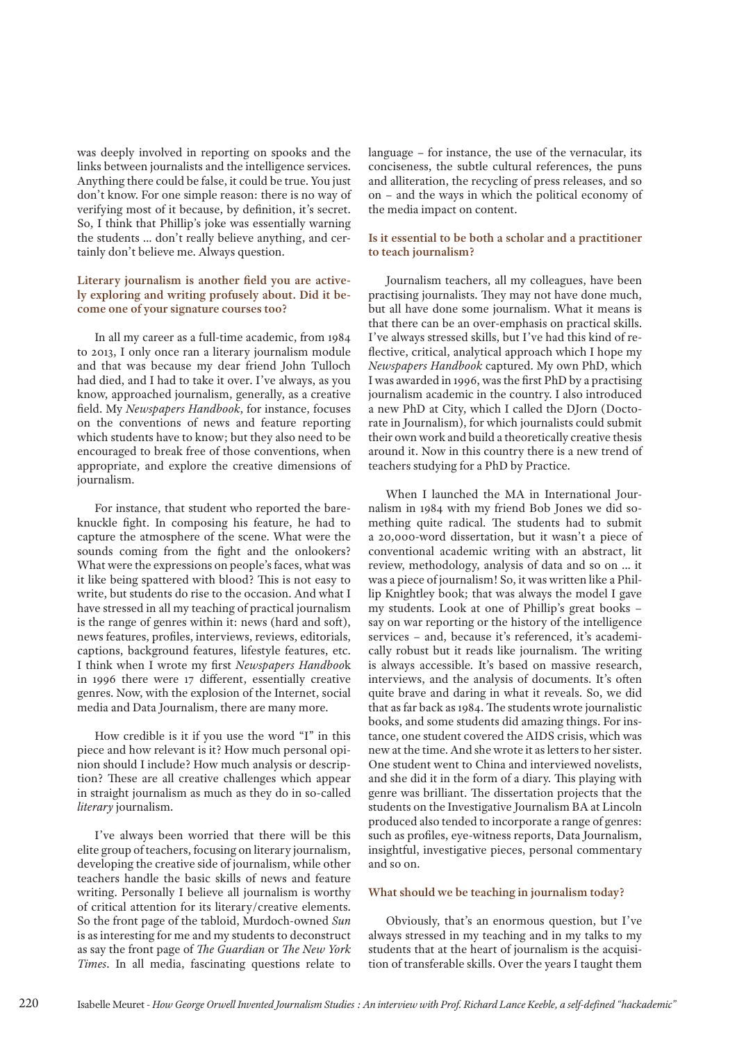was deeply involved in reporting on spooks and the links between journalists and the intelligence services. Anything there could be false, it could be true. You just don't know. For one simple reason: there is no way of verifying most of it because, by definition, it's secret. So, I think that Phillip's joke was essentially warning the students … don't really believe anything, and certainly don't believe me. Always question.

#### **Literary journalism is another field you are actively exploring and writing profusely about. Did it become one of your signature courses too?**

In all my career as a full-time academic, from 1984 to 2013, I only once ran a literary journalism module and that was because my dear friend John Tulloch had died, and I had to take it over. I've always, as you know, approached journalism, generally, as a creative field. My *Newspapers Handbook*, for instance, focuses on the conventions of news and feature reporting which students have to know; but they also need to be encouraged to break free of those conventions, when appropriate, and explore the creative dimensions of journalism.

For instance, that student who reported the bareknuckle fight. In composing his feature, he had to capture the atmosphere of the scene. What were the sounds coming from the fight and the onlookers? What were the expressions on people's faces, what was it like being spattered with blood? This is not easy to write, but students do rise to the occasion. And what I have stressed in all my teaching of practical journalism is the range of genres within it: news (hard and soft), news features, profiles, interviews, reviews, editorials, captions, background features, lifestyle features, etc. I think when I wrote my first *Newspapers Handboo*k in 1996 there were 17 different, essentially creative genres. Now, with the explosion of the Internet, social media and Data Journalism, there are many more.

How credible is it if you use the word "I" in this piece and how relevant is it? How much personal opinion should I include? How much analysis or description? These are all creative challenges which appear in straight journalism as much as they do in so-called *literary* journalism.

I've always been worried that there will be this elite group of teachers, focusing on literary journalism, developing the creative side of journalism, while other teachers handle the basic skills of news and feature writing. Personally I believe all journalism is worthy of critical attention for its literary/creative elements. So the front page of the tabloid, Murdoch-owned *Sun* is as interesting for me and my students to deconstruct as say the front page of *The Guardian* or *The New York Times*. In all media, fascinating questions relate to

language – for instance, the use of the vernacular, its conciseness, the subtle cultural references, the puns and alliteration, the recycling of press releases, and so on – and the ways in which the political economy of the media impact on content.

#### **Is it essential to be both a scholar and a practitioner to teach journalism?**

Journalism teachers, all my colleagues, have been practising journalists. They may not have done much, but all have done some journalism. What it means is that there can be an over-emphasis on practical skills. I've always stressed skills, but I've had this kind of reflective, critical, analytical approach which I hope my *Newspapers Handbook* captured. My own PhD, which I was awarded in 1996, was the first PhD by a practising journalism academic in the country. I also introduced a new PhD at City, which I called the DJorn (Doctorate in Journalism), for which journalists could submit their own work and build a theoretically creative thesis around it. Now in this country there is a new trend of teachers studying for a PhD by Practice.

When I launched the MA in International Journalism in 1984 with my friend Bob Jones we did something quite radical. The students had to submit a 20,000-word dissertation, but it wasn't a piece of conventional academic writing with an abstract, lit review, methodology, analysis of data and so on … it was a piece of journalism! So, it was written like a Phillip Knightley book; that was always the model I gave my students. Look at one of Phillip's great books – say on war reporting or the history of the intelligence services – and, because it's referenced, it's academically robust but it reads like journalism. The writing is always accessible. It's based on massive research, interviews, and the analysis of documents. It's often quite brave and daring in what it reveals. So, we did that as far back as 1984. The students wrote journalistic books, and some students did amazing things. For instance, one student covered the AIDS crisis, which was new at the time. And she wrote it as letters to her sister. One student went to China and interviewed novelists, and she did it in the form of a diary. This playing with genre was brilliant. The dissertation projects that the students on the Investigative Journalism BA at Lincoln produced also tended to incorporate a range of genres: such as profiles, eye-witness reports, Data Journalism, insightful, investigative pieces, personal commentary and so on.

#### **What should we be teaching in journalism today?**

Obviously, that's an enormous question, but I've always stressed in my teaching and in my talks to my students that at the heart of journalism is the acquisition of transferable skills. Over the years I taught them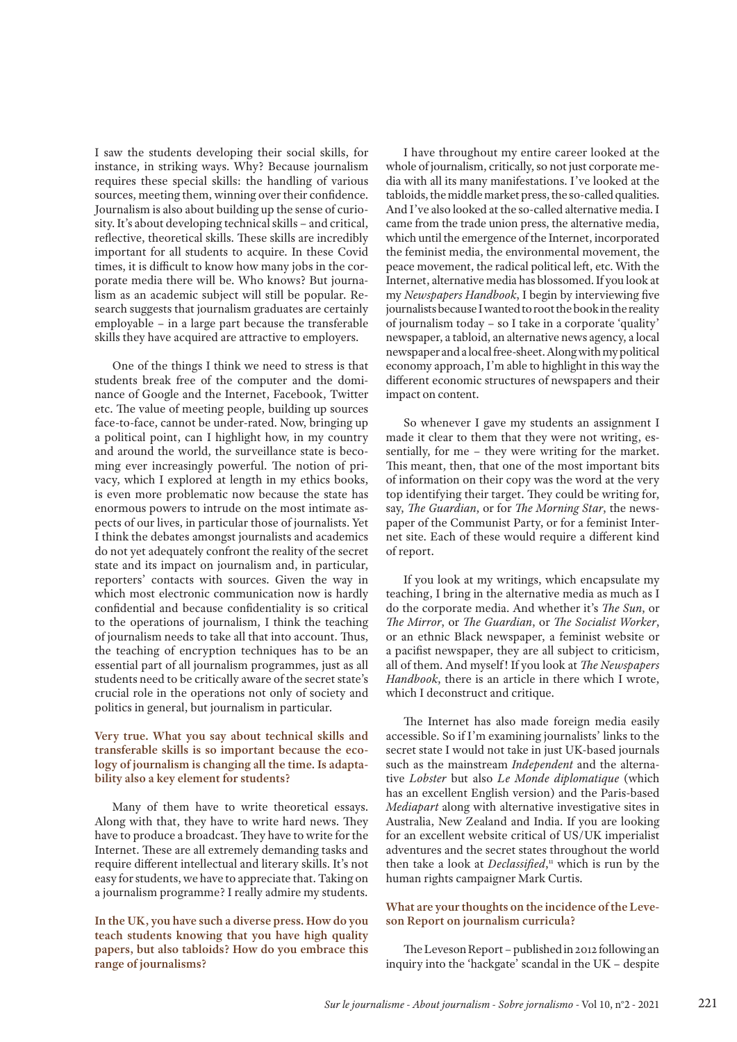I saw the students developing their social skills, for instance, in striking ways. Why? Because journalism requires these special skills: the handling of various sources, meeting them, winning over their confidence. Journalism is also about building up the sense of curiosity. It's about developing technical skills – and critical, reflective, theoretical skills. These skills are incredibly important for all students to acquire. In these Covid times, it is difficult to know how many jobs in the corporate media there will be. Who knows? But journalism as an academic subject will still be popular. Research suggests that journalism graduates are certainly employable – in a large part because the transferable skills they have acquired are attractive to employers.

One of the things I think we need to stress is that students break free of the computer and the dominance of Google and the Internet, Facebook, Twitter etc. The value of meeting people, building up sources face-to-face, cannot be under-rated. Now, bringing up a political point, can I highlight how, in my country and around the world, the surveillance state is becoming ever increasingly powerful. The notion of privacy, which I explored at length in my ethics books, is even more problematic now because the state has enormous powers to intrude on the most intimate aspects of our lives, in particular those of journalists. Yet I think the debates amongst journalists and academics do not yet adequately confront the reality of the secret state and its impact on journalism and, in particular, reporters' contacts with sources. Given the way in which most electronic communication now is hardly confidential and because confidentiality is so critical to the operations of journalism, I think the teaching of journalism needs to take all that into account. Thus, the teaching of encryption techniques has to be an essential part of all journalism programmes, just as all students need to be critically aware of the secret state's crucial role in the operations not only of society and politics in general, but journalism in particular.

#### **Very true. What you say about technical skills and transferable skills is so important because the ecology of journalism is changing all the time. Is adaptability also a key element for students?**

Many of them have to write theoretical essays. Along with that, they have to write hard news. They have to produce a broadcast. They have to write for the Internet. These are all extremely demanding tasks and require different intellectual and literary skills. It's not easy for students, we have to appreciate that. Taking on a journalism programme? I really admire my students.

**In the UK, you have such a diverse press. How do you teach students knowing that you have high quality papers, but also tabloids? How do you embrace this range of journalisms?**

I have throughout my entire career looked at the whole of journalism, critically, so not just corporate media with all its many manifestations. I've looked at the tabloids, the middle market press, the so-called qualities. And I've also looked at the so-called alternative media. I came from the trade union press, the alternative media, which until the emergence of the Internet, incorporated the feminist media, the environmental movement, the peace movement, the radical political left, etc. With the Internet, alternative media has blossomed. If you look at my *Newspapers Handbook*, I begin by interviewing five journalists because I wanted to root the book in the reality of journalism today – so I take in a corporate 'quality' newspaper, a tabloid, an alternative news agency, a local newspaper and a local free-sheet. Along with my political economy approach, I'm able to highlight in this way the different economic structures of newspapers and their impact on content.

So whenever I gave my students an assignment I made it clear to them that they were not writing, essentially, for me – they were writing for the market. This meant, then, that one of the most important bits of information on their copy was the word at the very top identifying their target. They could be writing for, say, *The Guardian*, or for *The Morning Star*, the newspaper of the Communist Party, or for a feminist Internet site. Each of these would require a different kind of report.

If you look at my writings, which encapsulate my teaching, I bring in the alternative media as much as I do the corporate media. And whether it's *The Sun*, or *The Mirror*, or *The Guardian*, or *The Socialist Worker*, or an ethnic Black newspaper, a feminist website or a pacifist newspaper, they are all subject to criticism, all of them. And myself! If you look at *The Newspapers Handbook*, there is an article in there which I wrote, which I deconstruct and critique.

The Internet has also made foreign media easily accessible. So if I'm examining journalists' links to the secret state I would not take in just UK-based journals such as the mainstream *Independent* and the alternative *Lobster* but also *Le Monde diplomatique* (which has an excellent English version) and the Paris-based *Mediapart* along with alternative investigative sites in Australia, New Zealand and India. If you are looking for an excellent website critical of US/UK imperialist adventures and the secret states throughout the world then take a look at *Declassified*, 11 which is run by the human rights campaigner Mark Curtis.

#### **What are your thoughts on the incidence of the Leveson Report on journalism curricula?**

The Leveson Report – published in 2012 following an inquiry into the 'hackgate' scandal in the UK – despite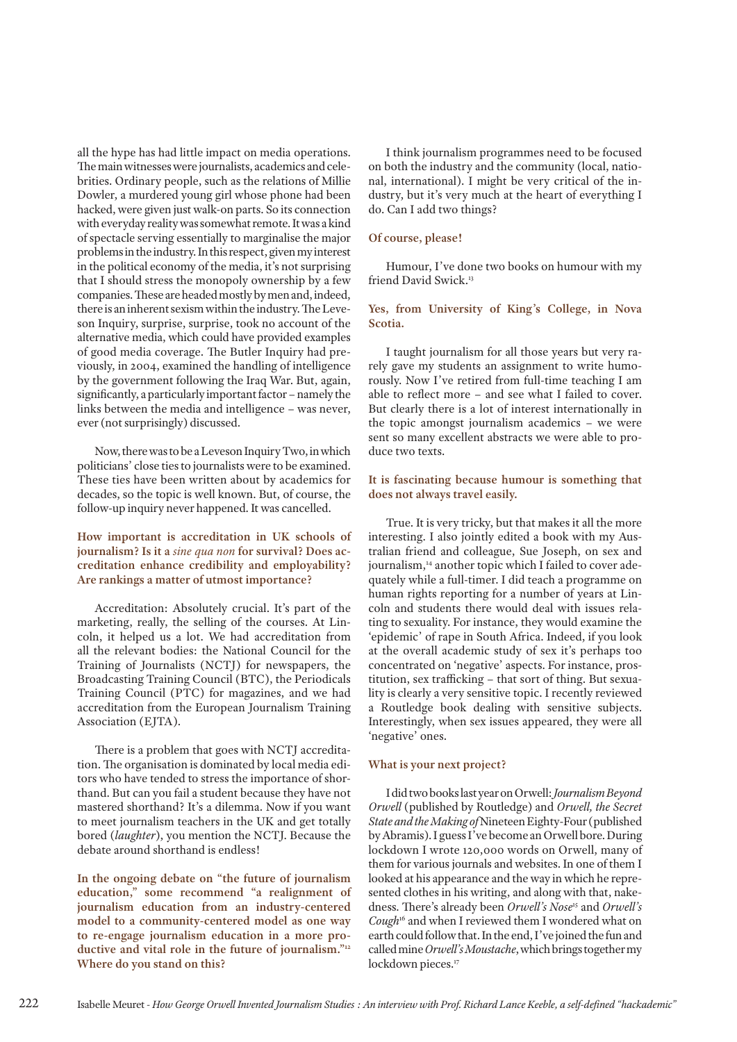all the hype has had little impact on media operations. The main witnesses were journalists, academics and celebrities. Ordinary people, such as the relations of Millie Dowler, a murdered young girl whose phone had been hacked, were given just walk-on parts. So its connection with everyday reality was somewhat remote. It was a kind of spectacle serving essentially to marginalise the major problems in the industry. In this respect, given my interest in the political economy of the media, it's not surprising that I should stress the monopoly ownership by a few companies. These are headed mostly by men and, indeed, there is an inherent sexism within the industry. The Leveson Inquiry, surprise, surprise, took no account of the alternative media, which could have provided examples of good media coverage. The Butler Inquiry had previously, in 2004, examined the handling of intelligence by the government following the Iraq War. But, again, significantly, a particularly important factor – namely the links between the media and intelligence – was never, ever (not surprisingly) discussed.

Now, there was to be a Leveson Inquiry Two, in which politicians' close ties to journalists were to be examined. These ties have been written about by academics for decades, so the topic is well known. But, of course, the follow-up inquiry never happened. It was cancelled.

**How important is accreditation in UK schools of journalism? Is it a** *sine qua non* **for survival? Does accreditation enhance credibility and employability? Are rankings a matter of utmost importance?**

Accreditation: Absolutely crucial. It's part of the marketing, really, the selling of the courses. At Lincoln, it helped us a lot. We had accreditation from all the relevant bodies: the National Council for the Training of Journalists (NCTJ) for newspapers, the Broadcasting Training Council (BTC), the Periodicals Training Council (PTC) for magazines, and we had accreditation from the European Journalism Training Association (EJTA).

There is a problem that goes with NCTJ accreditation. The organisation is dominated by local media editors who have tended to stress the importance of shorthand. But can you fail a student because they have not mastered shorthand? It's a dilemma. Now if you want to meet journalism teachers in the UK and get totally bored (*laughter*), you mention the NCTJ. Because the debate around shorthand is endless!

**In the ongoing debate on "the future of journalism education," some recommend "a realignment of journalism education from an industry-centered model to a community-centered model as one way to re-engage journalism education in a more productive and vital role in the future of journalism."12 Where do you stand on this?**

I think journalism programmes need to be focused on both the industry and the community (local, national, international). I might be very critical of the industry, but it's very much at the heart of everything I do. Can I add two things?

#### **Of course, please!**

Humour, I've done two books on humour with my friend David Swick.13

#### **Yes, from University of King's College, in Nova Scotia.**

I taught journalism for all those years but very rarely gave my students an assignment to write humorously. Now I've retired from full-time teaching I am able to reflect more – and see what I failed to cover. But clearly there is a lot of interest internationally in the topic amongst journalism academics – we were sent so many excellent abstracts we were able to produce two texts.

#### **It is fascinating because humour is something that does not always travel easily.**

True. It is very tricky, but that makes it all the more interesting. I also jointly edited a book with my Australian friend and colleague, Sue Joseph, on sex and journalism,<sup>14</sup> another topic which I failed to cover adequately while a full-timer. I did teach a programme on human rights reporting for a number of years at Lincoln and students there would deal with issues relating to sexuality. For instance, they would examine the 'epidemic' of rape in South Africa. Indeed, if you look at the overall academic study of sex it's perhaps too concentrated on 'negative' aspects. For instance, prostitution, sex trafficking – that sort of thing. But sexuality is clearly a very sensitive topic. I recently reviewed a Routledge book dealing with sensitive subjects. Interestingly, when sex issues appeared, they were all 'negative' ones.

#### **What is your next project?**

I did two books last year on Orwell: *Journalism Beyond Orwell* (published by Routledge) and *Orwell, the Secret State and the Making of* Nineteen Eighty-Four (published by Abramis). I guess I've become an Orwell bore. During lockdown I wrote 120,000 words on Orwell, many of them for various journals and websites. In one of them I looked at his appearance and the way in which he represented clothes in his writing, and along with that, nakedness. There's already been *Orwell's Nose*15 and *Orwell's Cough*16 and when I reviewed them I wondered what on earth could follow that. In the end, I've joined the fun and called mine *Orwell's Moustache*, which brings together my lockdown pieces.<sup>17</sup>